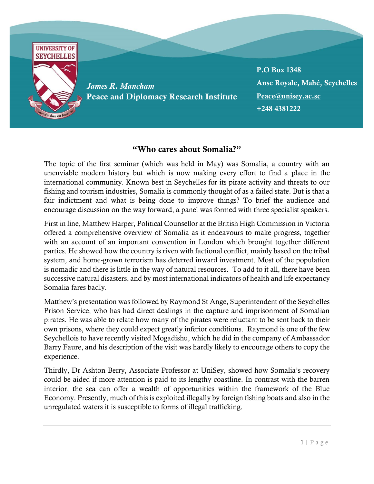

## "Who cares about Somalia?"

The topic of the first seminar (which was held in May) was Somalia, a country with an unenviable modern history but which is now making every effort to find a place in the international community. Known best in Seychelles for its pirate activity and threats to our fishing and tourism industries, Somalia is commonly thought of as a failed state. But is that a fair indictment and what is being done to improve things? To brief the audience and encourage discussion on the way forward, a panel was formed with three specialist speakers.

First in line, Matthew Harper, Political Counsellor at the British High Commission in Victoria offered a comprehensive overview of Somalia as it endeavours to make progress, together with an account of an important convention in London which brought together different parties. He showed how the country is riven with factional conflict, mainly based on the tribal system, and home-grown terrorism has deterred inward investment. Most of the population is nomadic and there is little in the way of natural resources. To add to it all, there have been successive natural disasters, and by most international indicators of health and life expectancy Somalia fares badly.

Matthew's presentation was followed by Raymond St Ange, Superintendent of the Seychelles Prison Service, who has had direct dealings in the capture and imprisonment of Somalian pirates. He was able to relate how many of the pirates were reluctant to be sent back to their own prisons, where they could expect greatly inferior conditions. Raymond is one of the few Seychellois to have recently visited Mogadishu, which he did in the company of Ambassador Barry Faure, and his description of the visit was hardly likely to encourage others to copy the experience.

Thirdly, Dr Ashton Berry, Associate Professor at UniSey, showed how Somalia's recovery could be aided if more attention is paid to its lengthy coastline. In contrast with the barren interior, the sea can offer a wealth of opportunities within the framework of the Blue Economy. Presently, much of this is exploited illegally by foreign fishing boats and also in the unregulated waters it is susceptible to forms of illegal trafficking.